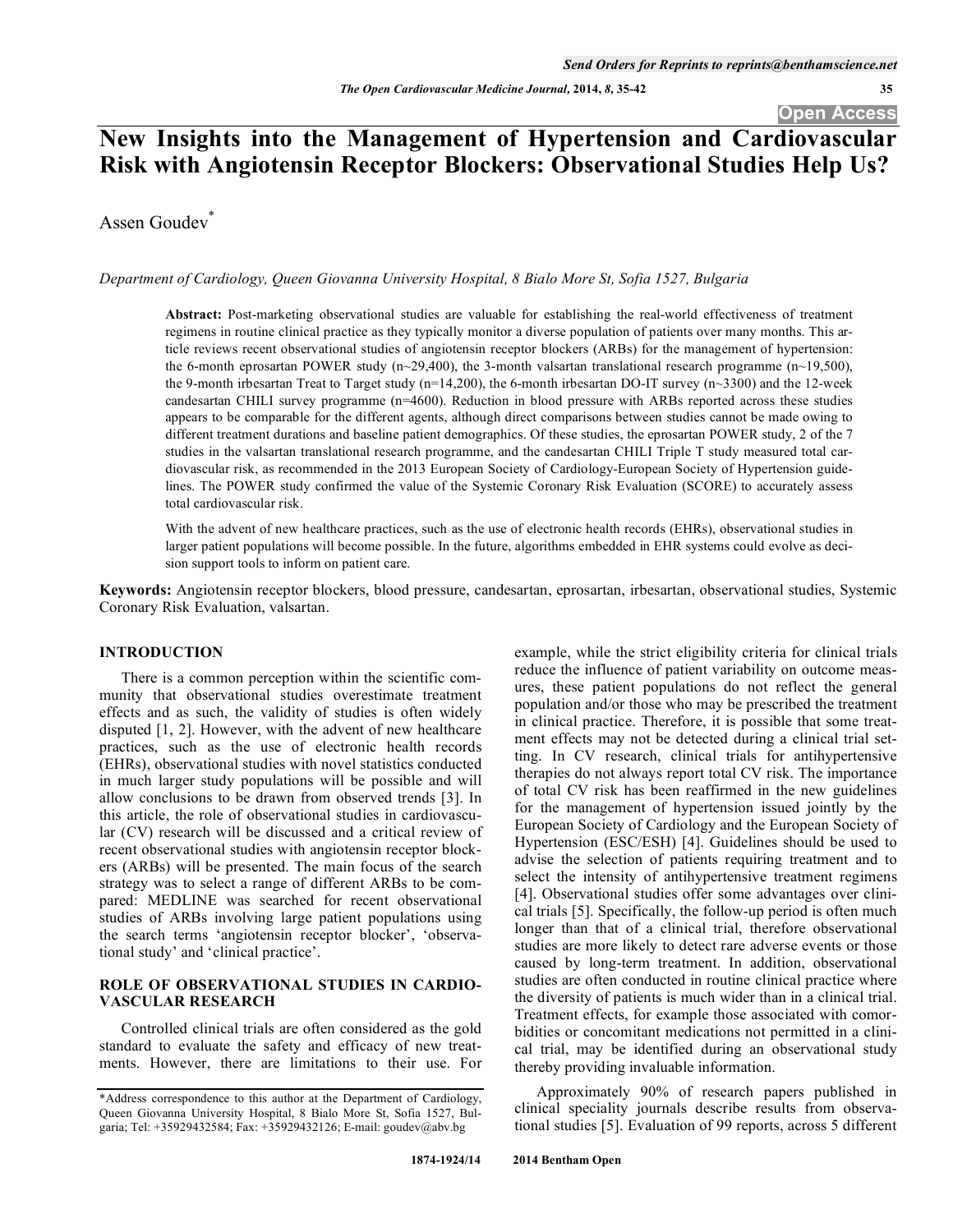# **New Insights into the Management of Hypertension and Cardiovascular Risk with Angiotensin Receptor Blockers: Observational Studies Help Us?**

Assen Goudev<sup>\*</sup>

*Department of Cardiology, Queen Giovanna University Hospital, 8 Bialo More St, Sofia 1527, Bulgaria* 

**Abstract:** Post-marketing observational studies are valuable for establishing the real-world effectiveness of treatment regimens in routine clinical practice as they typically monitor a diverse population of patients over many months. This article reviews recent observational studies of angiotensin receptor blockers (ARBs) for the management of hypertension: the 6-month eprosartan POWER study (n~29,400), the 3-month valsartan translational research programme (n~19,500), the 9-month irbesartan Treat to Target study (n=14,200), the 6-month irbesartan DO-IT survey (n~3300) and the 12-week candesartan CHILI survey programme (n=4600). Reduction in blood pressure with ARBs reported across these studies appears to be comparable for the different agents, although direct comparisons between studies cannot be made owing to different treatment durations and baseline patient demographics. Of these studies, the eprosartan POWER study, 2 of the 7 studies in the valsartan translational research programme, and the candesartan CHILI Triple T study measured total cardiovascular risk, as recommended in the 2013 European Society of Cardiology-European Society of Hypertension guidelines. The POWER study confirmed the value of the Systemic Coronary Risk Evaluation (SCORE) to accurately assess total cardiovascular risk.

With the advent of new healthcare practices, such as the use of electronic health records (EHRs), observational studies in larger patient populations will become possible. In the future, algorithms embedded in EHR systems could evolve as decision support tools to inform on patient care.

**Keywords:** Angiotensin receptor blockers, blood pressure, candesartan, eprosartan, irbesartan, observational studies, Systemic Coronary Risk Evaluation, valsartan.

# **INTRODUCTION**

There is a common perception within the scientific community that observational studies overestimate treatment effects and as such, the validity of studies is often widely disputed [1, 2]. However, with the advent of new healthcare practices, such as the use of electronic health records (EHRs), observational studies with novel statistics conducted in much larger study populations will be possible and will allow conclusions to be drawn from observed trends [3]. In this article, the role of observational studies in cardiovascular (CV) research will be discussed and a critical review of recent observational studies with angiotensin receptor blockers (ARBs) will be presented. The main focus of the search strategy was to select a range of different ARBs to be compared: MEDLINE was searched for recent observational studies of ARBs involving large patient populations using the search terms 'angiotensin receptor blocker', 'observational study' and 'clinical practice'.

# **ROLE OF OBSERVATIONAL STUDIES IN CARDIO-VASCULAR RESEARCH**

Controlled clinical trials are often considered as the gold standard to evaluate the safety and efficacy of new treatments. However, there are limitations to their use. For example, while the strict eligibility criteria for clinical trials reduce the influence of patient variability on outcome measures, these patient populations do not reflect the general population and/or those who may be prescribed the treatment in clinical practice. Therefore, it is possible that some treatment effects may not be detected during a clinical trial setting. In CV research, clinical trials for antihypertensive therapies do not always report total CV risk. The importance of total CV risk has been reaffirmed in the new guidelines for the management of hypertension issued jointly by the European Society of Cardiology and the European Society of Hypertension (ESC/ESH) [4]. Guidelines should be used to advise the selection of patients requiring treatment and to select the intensity of antihypertensive treatment regimens [4]. Observational studies offer some advantages over clinical trials [5]. Specifically, the follow-up period is often much longer than that of a clinical trial, therefore observational studies are more likely to detect rare adverse events or those caused by long-term treatment. In addition, observational studies are often conducted in routine clinical practice where the diversity of patients is much wider than in a clinical trial. Treatment effects, for example those associated with comorbidities or concomitant medications not permitted in a clinical trial, may be identified during an observational study thereby providing invaluable information.

Approximately 90% of research papers published in clinical speciality journals describe results from observational studies [5]. Evaluation of 99 reports, across 5 different

<sup>\*</sup>Address correspondence to this author at the Department of Cardiology, Queen Giovanna University Hospital, 8 Bialo More St, Sofia 1527, Bulgaria; Tel: +35929432584; Fax: +35929432126; E-mail: goudev@abv.bg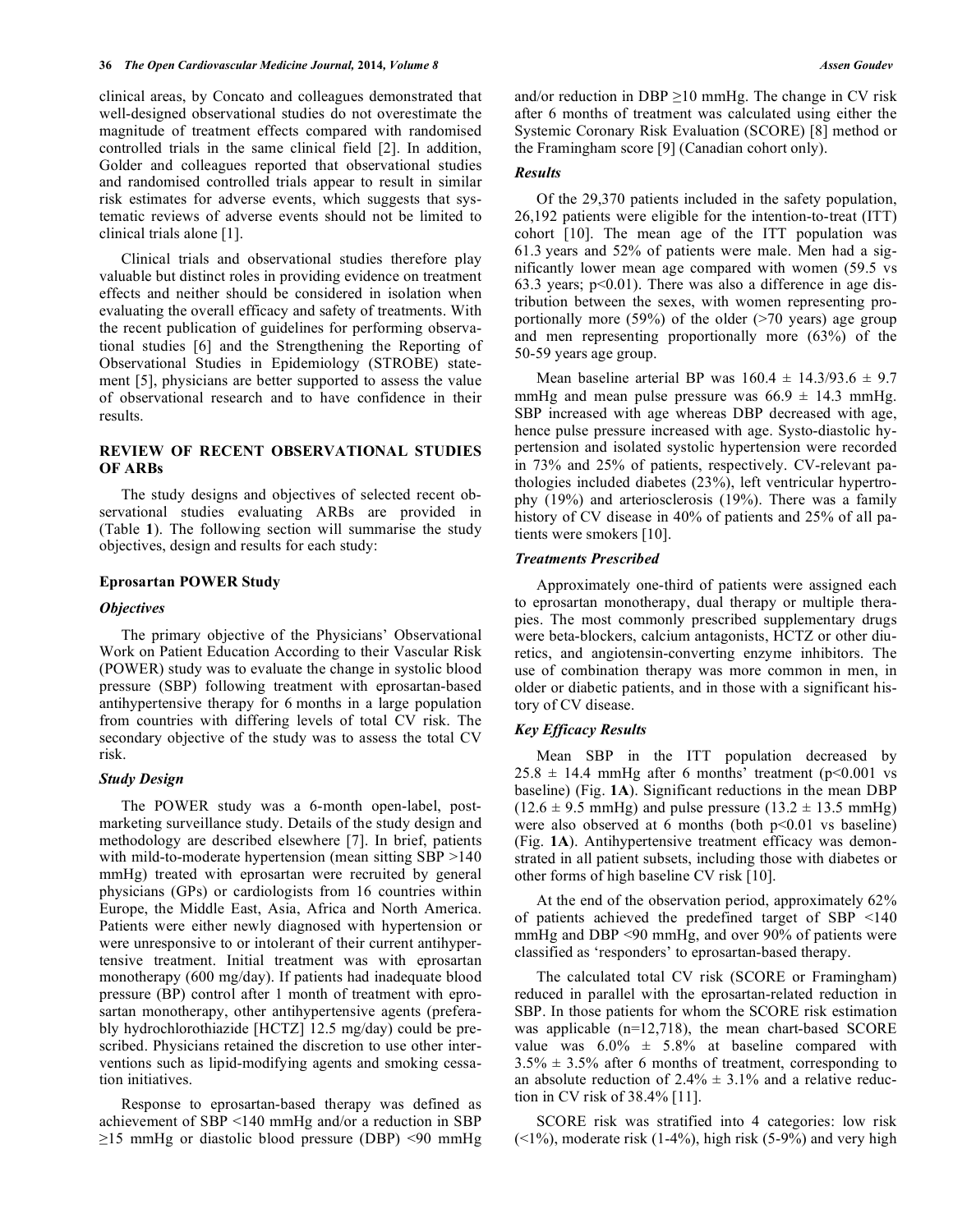clinical areas, by Concato and colleagues demonstrated that well-designed observational studies do not overestimate the magnitude of treatment effects compared with randomised controlled trials in the same clinical field [2]. In addition, Golder and colleagues reported that observational studies and randomised controlled trials appear to result in similar risk estimates for adverse events, which suggests that systematic reviews of adverse events should not be limited to clinical trials alone [1].

Clinical trials and observational studies therefore play valuable but distinct roles in providing evidence on treatment effects and neither should be considered in isolation when evaluating the overall efficacy and safety of treatments. With the recent publication of guidelines for performing observational studies [6] and the Strengthening the Reporting of Observational Studies in Epidemiology (STROBE) statement [5], physicians are better supported to assess the value of observational research and to have confidence in their results.

# **REVIEW OF RECENT OBSERVATIONAL STUDIES OF ARBs**

The study designs and objectives of selected recent observational studies evaluating ARBs are provided in (Table **1**). The following section will summarise the study objectives, design and results for each study:

# **Eprosartan POWER Study**

#### *Objectives*

The primary objective of the Physicians' Observational Work on Patient Education According to their Vascular Risk (POWER) study was to evaluate the change in systolic blood pressure (SBP) following treatment with eprosartan-based antihypertensive therapy for 6 months in a large population from countries with differing levels of total CV risk. The secondary objective of the study was to assess the total CV risk.

#### *Study Design*

The POWER study was a 6-month open-label, postmarketing surveillance study. Details of the study design and methodology are described elsewhere [7]. In brief, patients with mild-to-moderate hypertension (mean sitting SBP >140) mmHg) treated with eprosartan were recruited by general physicians (GPs) or cardiologists from 16 countries within Europe, the Middle East, Asia, Africa and North America. Patients were either newly diagnosed with hypertension or were unresponsive to or intolerant of their current antihypertensive treatment. Initial treatment was with eprosartan monotherapy (600 mg/day). If patients had inadequate blood pressure (BP) control after 1 month of treatment with eprosartan monotherapy, other antihypertensive agents (preferably hydrochlorothiazide [HCTZ] 12.5 mg/day) could be prescribed. Physicians retained the discretion to use other interventions such as lipid-modifying agents and smoking cessation initiatives.

Response to eprosartan-based therapy was defined as achievement of SBP <140 mmHg and/or a reduction in SBP  $\geq$ 15 mmHg or diastolic blood pressure (DBP) <90 mmHg and/or reduction in DBP  $\geq$ 10 mmHg. The change in CV risk after 6 months of treatment was calculated using either the Systemic Coronary Risk Evaluation (SCORE) [8] method or the Framingham score [9] (Canadian cohort only).

#### *Results*

Of the 29,370 patients included in the safety population, 26,192 patients were eligible for the intention-to-treat (ITT) cohort [10]. The mean age of the ITT population was 61.3 years and 52% of patients were male. Men had a significantly lower mean age compared with women (59.5 vs 63.3 years;  $p<0.01$ ). There was also a difference in age distribution between the sexes, with women representing proportionally more (59%) of the older ( $>70$  years) age group and men representing proportionally more (63%) of the 50-59 years age group.

Mean baseline arterial BP was  $160.4 \pm 14.3/93.6 \pm 9.7$ mmHg and mean pulse pressure was  $66.9 \pm 14.3$  mmHg. SBP increased with age whereas DBP decreased with age, hence pulse pressure increased with age. Systo-diastolic hypertension and isolated systolic hypertension were recorded in 73% and 25% of patients, respectively. CV-relevant pathologies included diabetes (23%), left ventricular hypertrophy (19%) and arteriosclerosis (19%). There was a family history of CV disease in 40% of patients and 25% of all patients were smokers [10].

#### *Treatments Prescribed*

Approximately one-third of patients were assigned each to eprosartan monotherapy, dual therapy or multiple therapies. The most commonly prescribed supplementary drugs were beta-blockers, calcium antagonists, HCTZ or other diuretics, and angiotensin-converting enzyme inhibitors. The use of combination therapy was more common in men, in older or diabetic patients, and in those with a significant history of CV disease.

#### *Key Efficacy Results*

Mean SBP in the ITT population decreased by  $25.8 \pm 14.4$  mmHg after 6 months' treatment (p<0.001 vs baseline) (Fig. **1A**). Significant reductions in the mean DBP  $(12.6 \pm 9.5 \text{ mmHg})$  and pulse pressure  $(13.2 \pm 13.5 \text{ mmHg})$ were also observed at 6 months (both  $p<0.01$  vs baseline) (Fig. **1A**). Antihypertensive treatment efficacy was demonstrated in all patient subsets, including those with diabetes or other forms of high baseline CV risk [10].

At the end of the observation period, approximately 62% of patients achieved the predefined target of SBP <140 mmHg and DBP <90 mmHg, and over 90% of patients were classified as 'responders' to eprosartan-based therapy.

The calculated total CV risk (SCORE or Framingham) reduced in parallel with the eprosartan-related reduction in SBP. In those patients for whom the SCORE risk estimation was applicable (n=12,718), the mean chart-based SCORE value was  $6.0\% \pm 5.8\%$  at baseline compared with  $3.5\% \pm 3.5\%$  after 6 months of treatment, corresponding to an absolute reduction of  $2.4\% \pm 3.1\%$  and a relative reduction in CV risk of 38.4% [11].

SCORE risk was stratified into 4 categories: low risk  $(\leq 1\%)$ , moderate risk  $(1-4\%)$ , high risk  $(5-9\%)$  and very high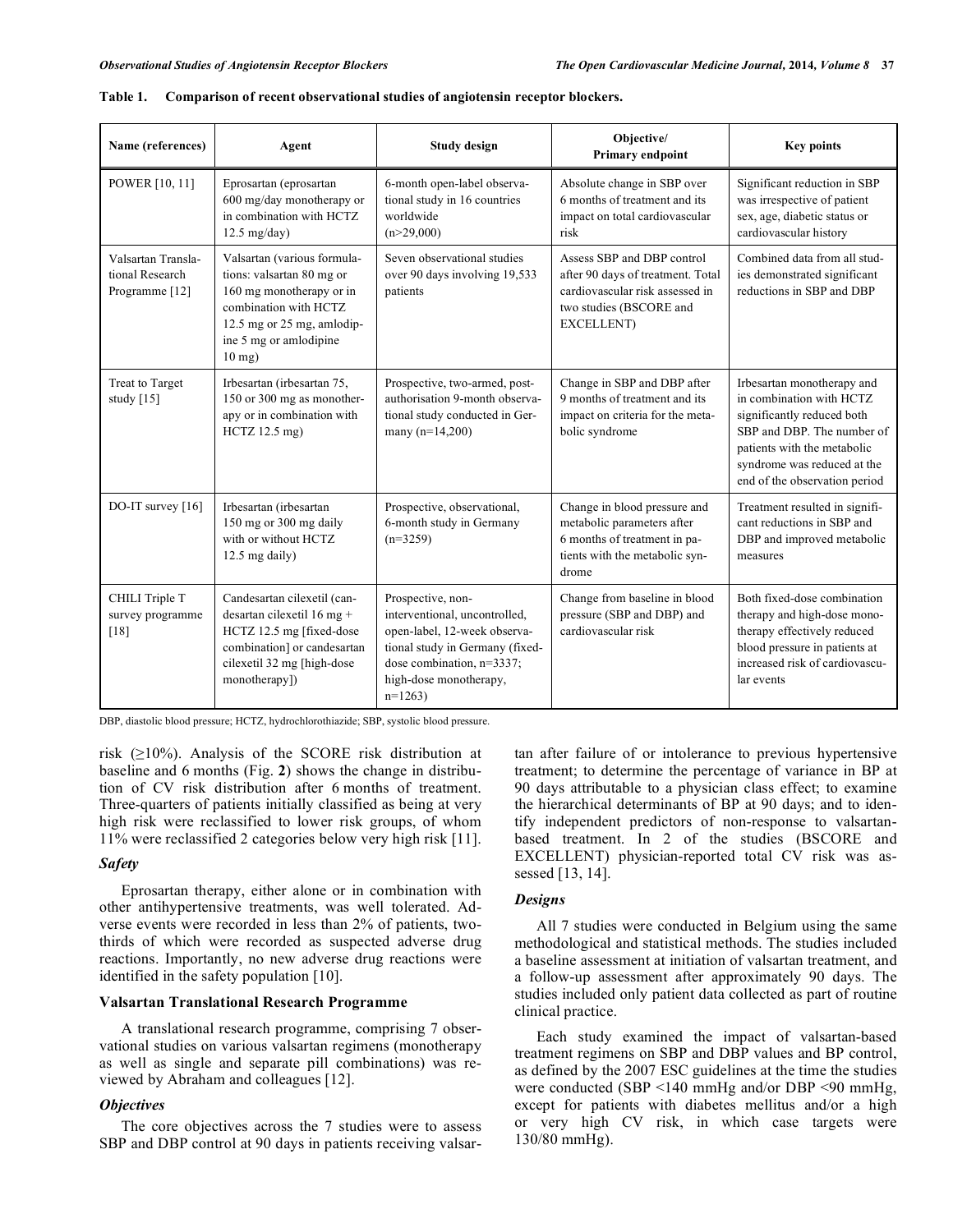| Name (references)                                                  | Agent                                                                                                                                                                             | <b>Study design</b>                                                                                                                                                                      | Objective/<br>Primary endpoint                                                                                                              | <b>Key points</b>                                                                                                                                                                                                 |
|--------------------------------------------------------------------|-----------------------------------------------------------------------------------------------------------------------------------------------------------------------------------|------------------------------------------------------------------------------------------------------------------------------------------------------------------------------------------|---------------------------------------------------------------------------------------------------------------------------------------------|-------------------------------------------------------------------------------------------------------------------------------------------------------------------------------------------------------------------|
| POWER [10, 11]                                                     | Eprosartan (eprosartan<br>600 mg/day monotherapy or<br>in combination with HCTZ<br>$12.5$ mg/day)                                                                                 | 6-month open-label observa-<br>tional study in 16 countries<br>worldwide<br>(n>29,000)                                                                                                   | Absolute change in SBP over<br>6 months of treatment and its<br>impact on total cardiovascular<br>risk                                      | Significant reduction in SBP<br>was irrespective of patient<br>sex, age, diabetic status or<br>cardiovascular history                                                                                             |
| Valsartan Transla-<br>tional Research<br>Programme <sup>[12]</sup> | Valsartan (various formula-<br>tions: valsartan 80 mg or<br>160 mg monotherapy or in<br>combination with HCTZ<br>12.5 mg or 25 mg, amlodip-<br>ine 5 mg or amlodipine<br>$10$ mg) | Seven observational studies<br>over 90 days involving 19,533<br>patients                                                                                                                 | Assess SBP and DBP control<br>after 90 days of treatment. Total<br>cardiovascular risk assessed in<br>two studies (BSCORE and<br>EXCELLENT) | Combined data from all stud-<br>ies demonstrated significant<br>reductions in SBP and DBP                                                                                                                         |
| Treat to Target<br>study [15]                                      | Irbesartan (irbesartan 75,<br>150 or 300 mg as monother-<br>apy or in combination with<br>$HCTZ$ 12.5 mg)                                                                         | Prospective, two-armed, post-<br>authorisation 9-month observa-<br>tional study conducted in Ger-<br>many $(n=14,200)$                                                                   | Change in SBP and DBP after<br>9 months of treatment and its<br>impact on criteria for the meta-<br>bolic syndrome                          | Irbesartan monotherapy and<br>in combination with HCTZ<br>significantly reduced both<br>SBP and DBP. The number of<br>patients with the metabolic<br>syndrome was reduced at the<br>end of the observation period |
| DO-IT survey $[16]$                                                | Irbesartan (irbesartan<br>150 mg or 300 mg daily<br>with or without HCTZ<br>$12.5$ mg daily)                                                                                      | Prospective, observational,<br>6-month study in Germany<br>$(n=3259)$                                                                                                                    | Change in blood pressure and<br>metabolic parameters after<br>6 months of treatment in pa-<br>tients with the metabolic syn-<br>drome       | Treatment resulted in signifi-<br>cant reductions in SBP and<br>DBP and improved metabolic<br>measures                                                                                                            |
| CHILI Triple T<br>survey programme<br>[18]                         | Candesartan cilexetil (can-<br>desartan cilexetil 16 mg +<br>HCTZ 12.5 mg [fixed-dose<br>combination] or candesartan<br>cilexetil 32 mg [high-dose<br>monotherapy])               | Prospective, non-<br>interventional, uncontrolled,<br>open-label, 12-week observa-<br>tional study in Germany (fixed-<br>dose combination, n=3337;<br>high-dose monotherapy,<br>$n=1263$ | Change from baseline in blood<br>pressure (SBP and DBP) and<br>cardiovascular risk                                                          | Both fixed-dose combination<br>therapy and high-dose mono-<br>therapy effectively reduced<br>blood pressure in patients at<br>increased risk of cardiovascu-<br>lar events                                        |

| <b>Table 1.</b><br>Comparison of recent observational studies of angiotensin receptor blockers. |  |
|-------------------------------------------------------------------------------------------------|--|
|-------------------------------------------------------------------------------------------------|--|

DBP, diastolic blood pressure; HCTZ, hydrochlorothiazide; SBP, systolic blood pressure.

risk  $(210\%)$ . Analysis of the SCORE risk distribution at baseline and 6 months (Fig. **2**) shows the change in distribution of CV risk distribution after 6 months of treatment. Three-quarters of patients initially classified as being at very high risk were reclassified to lower risk groups, of whom 11% were reclassified 2 categories below very high risk [11].

## *Safety*

Eprosartan therapy, either alone or in combination with other antihypertensive treatments, was well tolerated. Adverse events were recorded in less than 2% of patients, twothirds of which were recorded as suspected adverse drug reactions. Importantly, no new adverse drug reactions were identified in the safety population [10].

# **Valsartan Translational Research Programme**

A translational research programme, comprising 7 observational studies on various valsartan regimens (monotherapy as well as single and separate pill combinations) was reviewed by Abraham and colleagues [12].

# *Objectives*

The core objectives across the 7 studies were to assess SBP and DBP control at 90 days in patients receiving valsartan after failure of or intolerance to previous hypertensive treatment; to determine the percentage of variance in BP at 90 days attributable to a physician class effect; to examine the hierarchical determinants of BP at 90 days; and to identify independent predictors of non-response to valsartanbased treatment. In 2 of the studies (BSCORE and EXCELLENT) physician-reported total CV risk was assessed [13, 14].

# *Designs*

All 7 studies were conducted in Belgium using the same methodological and statistical methods. The studies included a baseline assessment at initiation of valsartan treatment, and a follow-up assessment after approximately 90 days. The studies included only patient data collected as part of routine clinical practice.

Each study examined the impact of valsartan-based treatment regimens on SBP and DBP values and BP control, as defined by the 2007 ESC guidelines at the time the studies were conducted (SBP <140 mmHg and/or DBP <90 mmHg, except for patients with diabetes mellitus and/or a high or very high CV risk, in which case targets were 130/80 mmHg).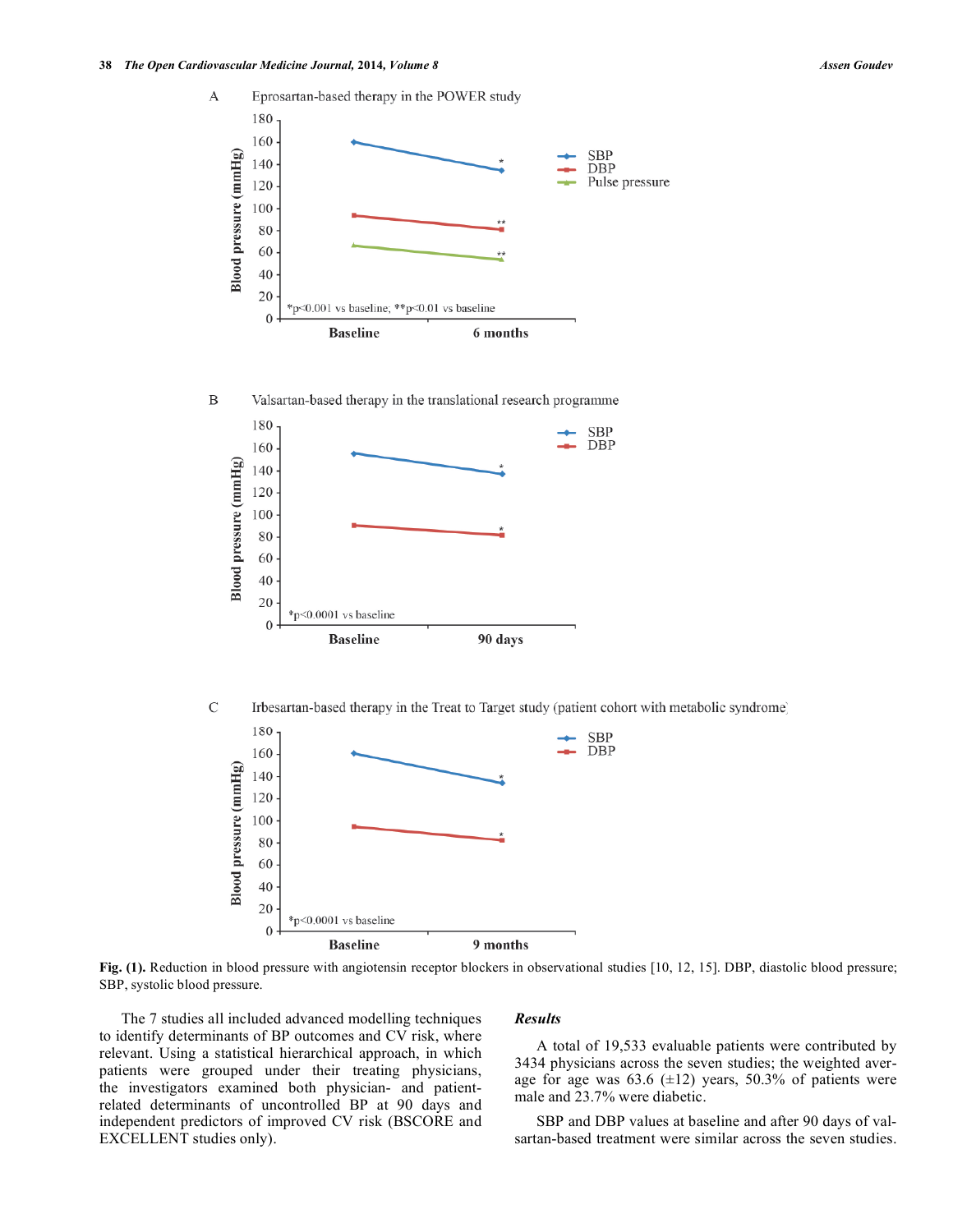

 $\mathsf{C}$ Irbesartan-based therapy in the Treat to Target study (patient cohort with metabolic syndrome)



Fig. (1). Reduction in blood pressure with angiotensin receptor blockers in observational studies [10, 12, 15]. DBP, diastolic blood pressure; SBP, systolic blood pressure.

The 7 studies all included advanced modelling techniques to identify determinants of BP outcomes and CV risk, where relevant. Using a statistical hierarchical approach, in which patients were grouped under their treating physicians, the investigators examined both physician- and patientrelated determinants of uncontrolled BP at 90 days and independent predictors of improved CV risk (BSCORE and EXCELLENT studies only).

#### *Results*

A total of 19,533 evaluable patients were contributed by 3434 physicians across the seven studies; the weighted average for age was  $63.6 \ (\pm 12)$  years,  $50.3\%$  of patients were male and 23.7% were diabetic.

SBP and DBP values at baseline and after 90 days of valsartan-based treatment were similar across the seven studies.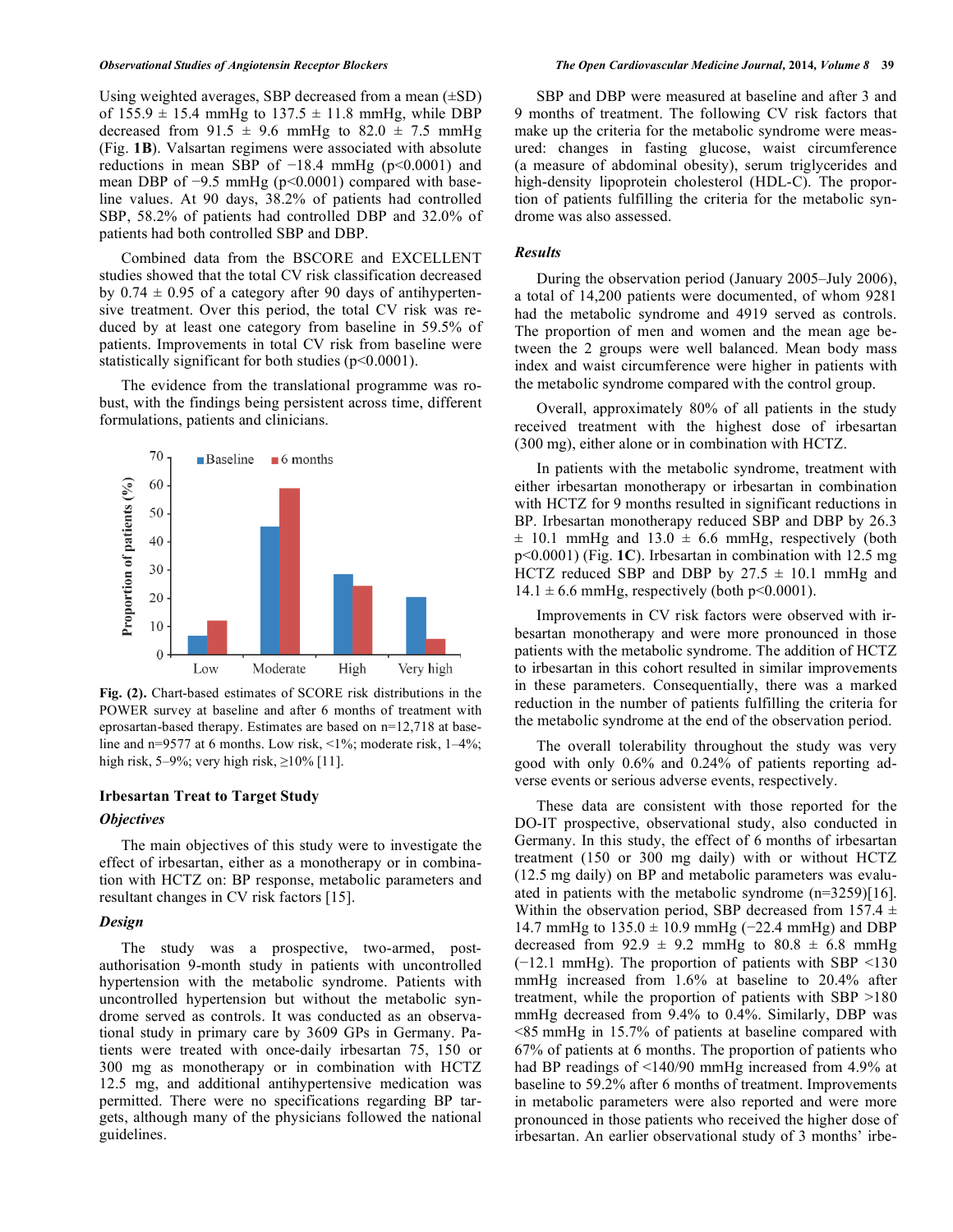Using weighted averages, SBP decreased from a mean  $(\pm SD)$ of  $155.9 \pm 15.4$  mmHg to  $137.5 \pm 11.8$  mmHg, while DBP decreased from  $91.5 \pm 9.6$  mmHg to  $82.0 \pm 7.5$  mmHg (Fig. **1B**). Valsartan regimens were associated with absolute reductions in mean SBP of  $-18.4$  mmHg ( $p<0.0001$ ) and mean DBP of  $-9.5$  mmHg ( $p<0.0001$ ) compared with baseline values. At 90 days, 38.2% of patients had controlled SBP, 58.2% of patients had controlled DBP and 32.0% of patients had both controlled SBP and DBP.

Combined data from the BSCORE and EXCELLENT studies showed that the total CV risk classification decreased by  $0.74 \pm 0.95$  of a category after 90 days of antihypertensive treatment. Over this period, the total CV risk was reduced by at least one category from baseline in 59.5% of patients. Improvements in total CV risk from baseline were statistically significant for both studies (p<0.0001).

The evidence from the translational programme was robust, with the findings being persistent across time, different formulations, patients and clinicians.



**Fig. (2).** Chart-based estimates of SCORE risk distributions in the POWER survey at baseline and after 6 months of treatment with eprosartan-based therapy. Estimates are based on n=12,718 at baseline and n=9577 at 6 months. Low risk, <1%; moderate risk, 1–4%; high risk,  $5-9\%$ ; very high risk,  $\geq 10\%$  [11].

#### **Irbesartan Treat to Target Study**

#### *Objectives*

The main objectives of this study were to investigate the effect of irbesartan, either as a monotherapy or in combination with HCTZ on: BP response, metabolic parameters and resultant changes in CV risk factors [15].

## *Design*

The study was a prospective, two-armed, postauthorisation 9-month study in patients with uncontrolled hypertension with the metabolic syndrome. Patients with uncontrolled hypertension but without the metabolic syndrome served as controls. It was conducted as an observational study in primary care by 3609 GPs in Germany. Patients were treated with once-daily irbesartan 75, 150 or 300 mg as monotherapy or in combination with HCTZ 12.5 mg, and additional antihypertensive medication was permitted. There were no specifications regarding BP targets, although many of the physicians followed the national guidelines.

SBP and DBP were measured at baseline and after 3 and 9 months of treatment. The following CV risk factors that make up the criteria for the metabolic syndrome were measured: changes in fasting glucose, waist circumference (a measure of abdominal obesity), serum triglycerides and high-density lipoprotein cholesterol (HDL-C). The proportion of patients fulfilling the criteria for the metabolic syndrome was also assessed.

#### *Results*

During the observation period (January 2005–July 2006), a total of 14,200 patients were documented, of whom 9281 had the metabolic syndrome and 4919 served as controls. The proportion of men and women and the mean age between the 2 groups were well balanced. Mean body mass index and waist circumference were higher in patients with the metabolic syndrome compared with the control group.

Overall, approximately 80% of all patients in the study received treatment with the highest dose of irbesartan (300 mg), either alone or in combination with HCTZ.

In patients with the metabolic syndrome, treatment with either irbesartan monotherapy or irbesartan in combination with HCTZ for 9 months resulted in significant reductions in BP. Irbesartan monotherapy reduced SBP and DBP by 26.3  $\pm$  10.1 mmHg and 13.0  $\pm$  6.6 mmHg, respectively (both p<0.0001) (Fig. **1C**). Irbesartan in combination with 12.5 mg HCTZ reduced SBP and DBP by  $27.5 \pm 10.1$  mmHg and  $14.1 \pm 6.6$  mmHg, respectively (both p<0.0001).

Improvements in CV risk factors were observed with irbesartan monotherapy and were more pronounced in those patients with the metabolic syndrome. The addition of HCTZ to irbesartan in this cohort resulted in similar improvements in these parameters. Consequentially, there was a marked reduction in the number of patients fulfilling the criteria for the metabolic syndrome at the end of the observation period.

The overall tolerability throughout the study was very good with only 0.6% and 0.24% of patients reporting adverse events or serious adverse events, respectively.

These data are consistent with those reported for the DO-IT prospective, observational study, also conducted in Germany. In this study, the effect of 6 months of irbesartan treatment (150 or 300 mg daily) with or without HCTZ (12.5 mg daily) on BP and metabolic parameters was evaluated in patients with the metabolic syndrome (n=3259)[16]. Within the observation period, SBP decreased from 157.4  $\pm$ 14.7 mmHg to  $135.0 \pm 10.9$  mmHg (-22.4 mmHg) and DBP decreased from  $92.9 \pm 9.2$  mmHg to  $80.8 \pm 6.8$  mmHg (-12.1 mmHg). The proportion of patients with SBP <130 mmHg increased from 1.6% at baseline to 20.4% after treatment, while the proportion of patients with SBP >180 mmHg decreased from 9.4% to 0.4%. Similarly, DBP was <85 mmHg in 15.7% of patients at baseline compared with 67% of patients at 6 months. The proportion of patients who had BP readings of <140/90 mmHg increased from 4.9% at baseline to 59.2% after 6 months of treatment. Improvements in metabolic parameters were also reported and were more pronounced in those patients who received the higher dose of irbesartan. An earlier observational study of 3 months' irbe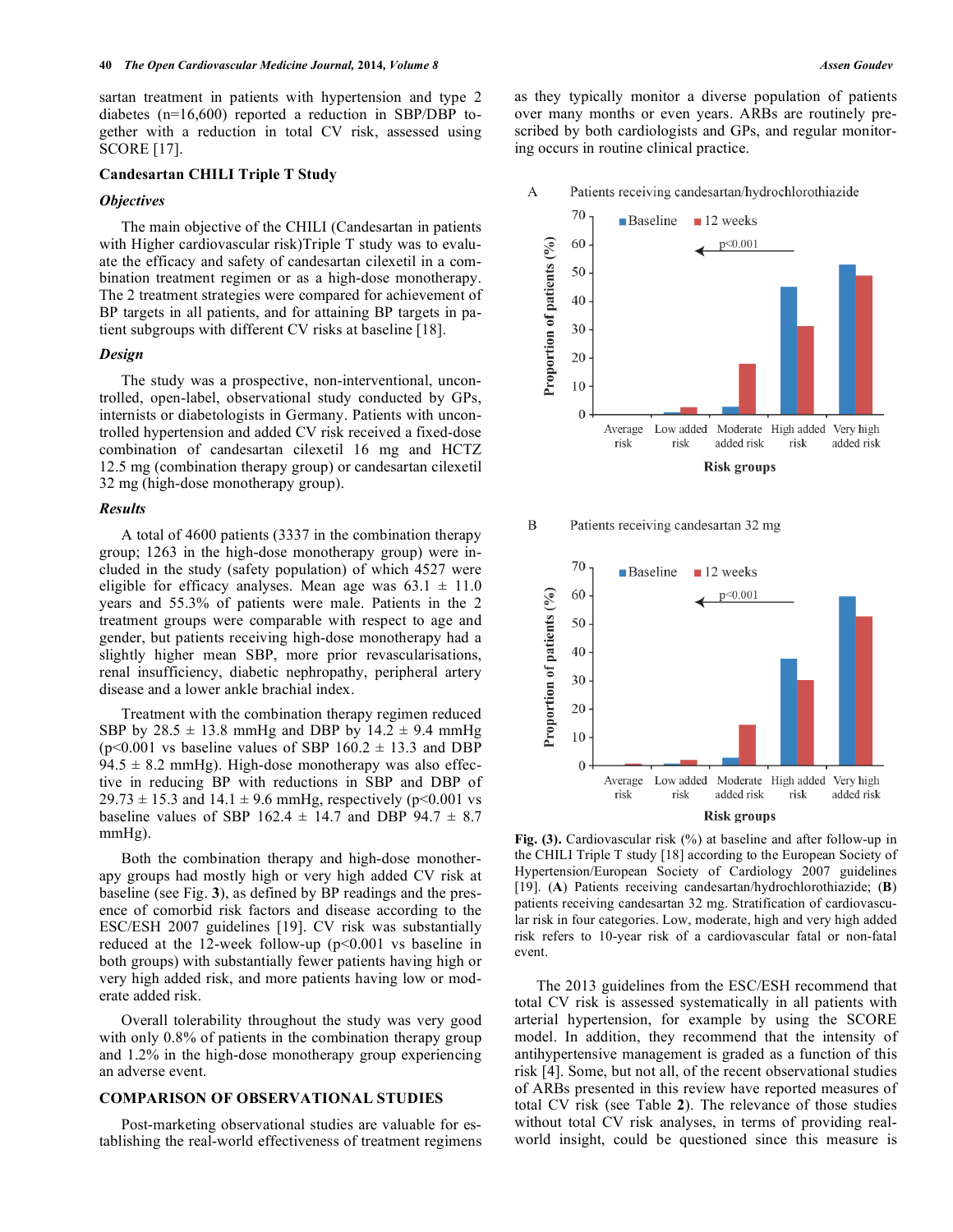sartan treatment in patients with hypertension and type 2 diabetes (n=16,600) reported a reduction in SBP/DBP together with a reduction in total CV risk, assessed using SCORE [17].

#### **Candesartan CHILI Triple T Study**

#### *Objectives*

The main objective of the CHILI (Candesartan in patients with Higher cardiovascular risk)Triple T study was to evaluate the efficacy and safety of candesartan cilexetil in a combination treatment regimen or as a high-dose monotherapy. The 2 treatment strategies were compared for achievement of BP targets in all patients, and for attaining BP targets in patient subgroups with different CV risks at baseline [18].

#### *Design*

The study was a prospective, non-interventional, uncontrolled, open-label, observational study conducted by GPs, internists or diabetologists in Germany. Patients with uncontrolled hypertension and added CV risk received a fixed-dose combination of candesartan cilexetil 16 mg and HCTZ 12.5 mg (combination therapy group) or candesartan cilexetil 32 mg (high-dose monotherapy group).

#### *Results*

A total of 4600 patients (3337 in the combination therapy group; 1263 in the high-dose monotherapy group) were included in the study (safety population) of which 4527 were eligible for efficacy analyses. Mean age was  $63.1 \pm 11.0$ years and 55.3% of patients were male. Patients in the 2 treatment groups were comparable with respect to age and gender, but patients receiving high-dose monotherapy had a slightly higher mean SBP, more prior revascularisations, renal insufficiency, diabetic nephropathy, peripheral artery disease and a lower ankle brachial index.

Treatment with the combination therapy regimen reduced SBP by  $28.5 \pm 13.8$  mmHg and DBP by  $14.2 \pm 9.4$  mmHg  $(p<0.001$  vs baseline values of SBP 160.2  $\pm$  13.3 and DBP  $94.5 \pm 8.2$  mmHg). High-dose monotherapy was also effective in reducing BP with reductions in SBP and DBP of  $29.73 \pm 15.3$  and  $14.1 \pm 9.6$  mmHg, respectively (p<0.001 vs baseline values of SBP 162.4  $\pm$  14.7 and DBP 94.7  $\pm$  8.7 mmHg).

Both the combination therapy and high-dose monotherapy groups had mostly high or very high added CV risk at baseline (see Fig. **3**), as defined by BP readings and the presence of comorbid risk factors and disease according to the ESC/ESH 2007 guidelines [19]. CV risk was substantially reduced at the 12-week follow-up (p<0.001 vs baseline in both groups) with substantially fewer patients having high or very high added risk, and more patients having low or moderate added risk.

Overall tolerability throughout the study was very good with only  $0.8\%$  of patients in the combination therapy group and 1.2% in the high-dose monotherapy group experiencing an adverse event.

# **COMPARISON OF OBSERVATIONAL STUDIES**

Post-marketing observational studies are valuable for establishing the real-world effectiveness of treatment regimens as they typically monitor a diverse population of patients over many months or even years. ARBs are routinely prescribed by both cardiologists and GPs, and regular monitoring occurs in routine clinical practice.

A Patients receiving candesartan/hydrochlorothiazide







Fig. (3). Cardiovascular risk (%) at baseline and after follow-up in the CHILI Triple T study [18] according to the European Society of Hypertension/European Society of Cardiology 2007 guidelines [19]. (**A**) Patients receiving candesartan/hydrochlorothiazide; (**B**) patients receiving candesartan 32 mg. Stratification of cardiovascular risk in four categories. Low, moderate, high and very high added risk refers to 10-year risk of a cardiovascular fatal or non-fatal event.

The 2013 guidelines from the ESC/ESH recommend that total CV risk is assessed systematically in all patients with arterial hypertension, for example by using the SCORE model. In addition, they recommend that the intensity of antihypertensive management is graded as a function of this risk [4]. Some, but not all, of the recent observational studies of ARBs presented in this review have reported measures of total CV risk (see Table **2**). The relevance of those studies without total CV risk analyses, in terms of providing realworld insight, could be questioned since this measure is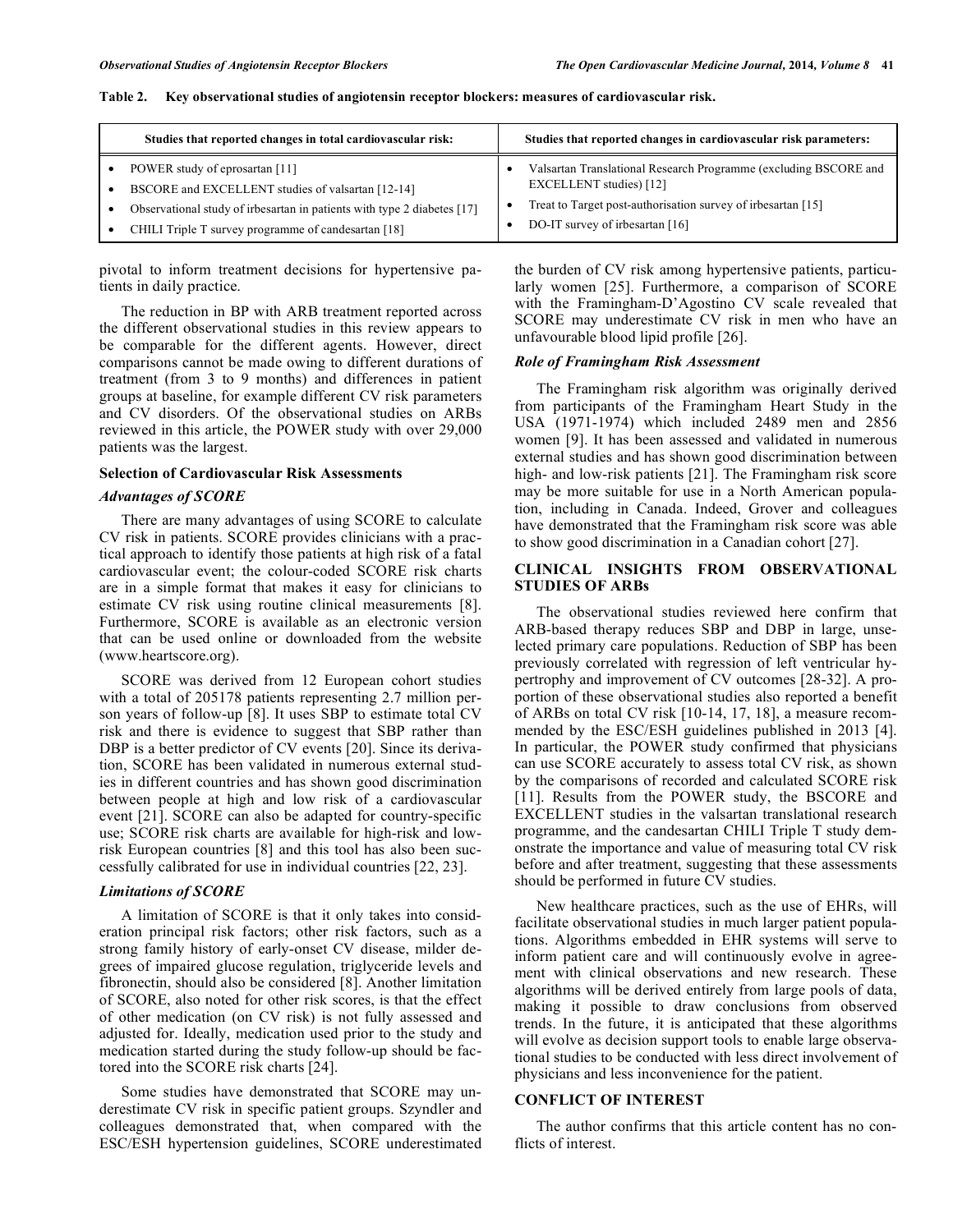| Studies that reported changes in total cardiovascular risk:                                                                  | Studies that reported changes in cardiovascular risk parameters:                            |
|------------------------------------------------------------------------------------------------------------------------------|---------------------------------------------------------------------------------------------|
| POWER study of eprosartan [11]                                                                                               | Valsartan Translational Research Programme (excluding BSCORE and<br>EXCELLENT studies) [12] |
| BSCORE and EXCELLENT studies of valsartan [12-14]<br>Observational study of irbesartan in patients with type 2 diabetes [17] | Treat to Target post-authorisation survey of irbesartan [15]                                |
| CHILI Triple T survey programme of candesartan [18]                                                                          | DO-IT survey of irbesartan [16]                                                             |

#### **Table 2. Key observational studies of angiotensin receptor blockers: measures of cardiovascular risk.**

pivotal to inform treatment decisions for hypertensive patients in daily practice.

The reduction in BP with ARB treatment reported across the different observational studies in this review appears to be comparable for the different agents. However, direct comparisons cannot be made owing to different durations of treatment (from 3 to 9 months) and differences in patient groups at baseline, for example different CV risk parameters and CV disorders. Of the observational studies on ARBs reviewed in this article, the POWER study with over 29,000 patients was the largest.

#### **Selection of Cardiovascular Risk Assessments**

#### *Advantages of SCORE*

There are many advantages of using SCORE to calculate CV risk in patients. SCORE provides clinicians with a practical approach to identify those patients at high risk of a fatal cardiovascular event; the colour-coded SCORE risk charts are in a simple format that makes it easy for clinicians to estimate CV risk using routine clinical measurements [8]. Furthermore, SCORE is available as an electronic version that can be used online or downloaded from the website (www.heartscore.org).

SCORE was derived from 12 European cohort studies with a total of 205178 patients representing 2.7 million person years of follow-up [8]. It uses SBP to estimate total CV risk and there is evidence to suggest that SBP rather than DBP is a better predictor of CV events [20]. Since its derivation, SCORE has been validated in numerous external studies in different countries and has shown good discrimination between people at high and low risk of a cardiovascular event [21]. SCORE can also be adapted for country-specific use; SCORE risk charts are available for high-risk and lowrisk European countries [8] and this tool has also been successfully calibrated for use in individual countries [22, 23].

#### *Limitations of SCORE*

A limitation of SCORE is that it only takes into consideration principal risk factors; other risk factors, such as a strong family history of early-onset CV disease, milder degrees of impaired glucose regulation, triglyceride levels and fibronectin, should also be considered [8]. Another limitation of SCORE, also noted for other risk scores, is that the effect of other medication (on CV risk) is not fully assessed and adjusted for. Ideally, medication used prior to the study and medication started during the study follow-up should be factored into the SCORE risk charts [24].

Some studies have demonstrated that SCORE may underestimate CV risk in specific patient groups. Szyndler and colleagues demonstrated that, when compared with the ESC/ESH hypertension guidelines, SCORE underestimated the burden of CV risk among hypertensive patients, particularly women [25]. Furthermore, a comparison of SCORE with the Framingham-D'Agostino CV scale revealed that SCORE may underestimate CV risk in men who have an unfavourable blood lipid profile [26].

# *Role of Framingham Risk Assessment*

The Framingham risk algorithm was originally derived from participants of the Framingham Heart Study in the USA (1971-1974) which included 2489 men and 2856 women [9]. It has been assessed and validated in numerous external studies and has shown good discrimination between high- and low-risk patients [21]. The Framingham risk score may be more suitable for use in a North American population, including in Canada. Indeed, Grover and colleagues have demonstrated that the Framingham risk score was able to show good discrimination in a Canadian cohort [27].

# **CLINICAL INSIGHTS FROM OBSERVATIONAL STUDIES OF ARBs**

The observational studies reviewed here confirm that ARB-based therapy reduces SBP and DBP in large, unselected primary care populations. Reduction of SBP has been previously correlated with regression of left ventricular hypertrophy and improvement of CV outcomes [28-32]. A proportion of these observational studies also reported a benefit of ARBs on total CV risk [10-14, 17, 18], a measure recommended by the ESC/ESH guidelines published in 2013 [4]. In particular, the POWER study confirmed that physicians can use SCORE accurately to assess total CV risk, as shown by the comparisons of recorded and calculated SCORE risk [11]. Results from the POWER study, the BSCORE and EXCELLENT studies in the valsartan translational research programme, and the candesartan CHILI Triple T study demonstrate the importance and value of measuring total CV risk before and after treatment, suggesting that these assessments should be performed in future CV studies.

New healthcare practices, such as the use of EHRs, will facilitate observational studies in much larger patient populations. Algorithms embedded in EHR systems will serve to inform patient care and will continuously evolve in agreement with clinical observations and new research. These algorithms will be derived entirely from large pools of data, making it possible to draw conclusions from observed trends. In the future, it is anticipated that these algorithms will evolve as decision support tools to enable large observational studies to be conducted with less direct involvement of physicians and less inconvenience for the patient.

#### **CONFLICT OF INTEREST**

The author confirms that this article content has no conflicts of interest.